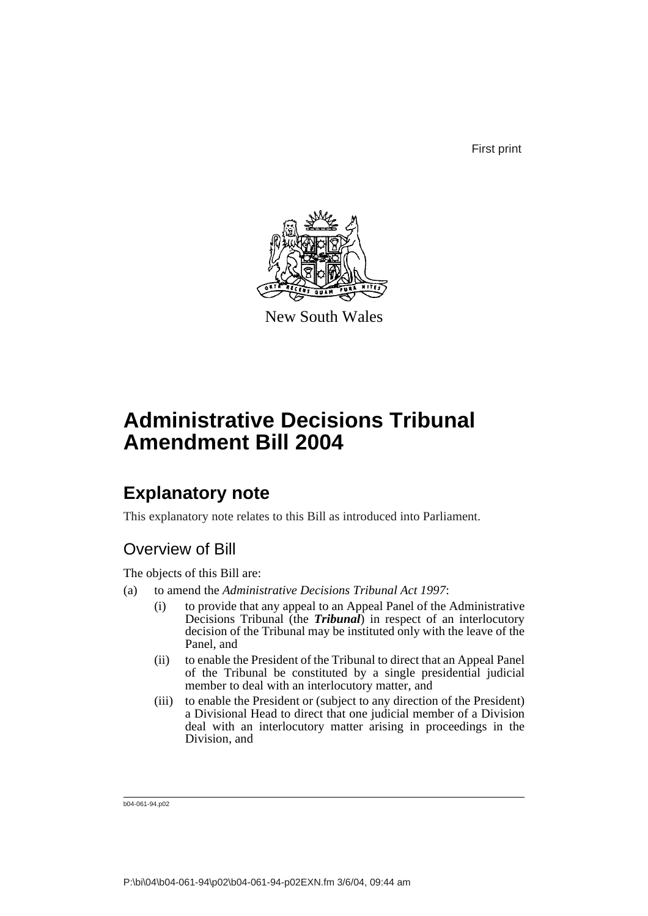First print



New South Wales

# **Administrative Decisions Tribunal Amendment Bill 2004**

# **Explanatory note**

This explanatory note relates to this Bill as introduced into Parliament.

## Overview of Bill

The objects of this Bill are:

- (a) to amend the *Administrative Decisions Tribunal Act 1997*:
	- (i) to provide that any appeal to an Appeal Panel of the Administrative Decisions Tribunal (the **Tribunal**) in respect of an interlocutory decision of the Tribunal may be instituted only with the leave of the Panel, and
	- (ii) to enable the President of the Tribunal to direct that an Appeal Panel of the Tribunal be constituted by a single presidential judicial member to deal with an interlocutory matter, and
	- (iii) to enable the President or (subject to any direction of the President) a Divisional Head to direct that one judicial member of a Division deal with an interlocutory matter arising in proceedings in the Division, and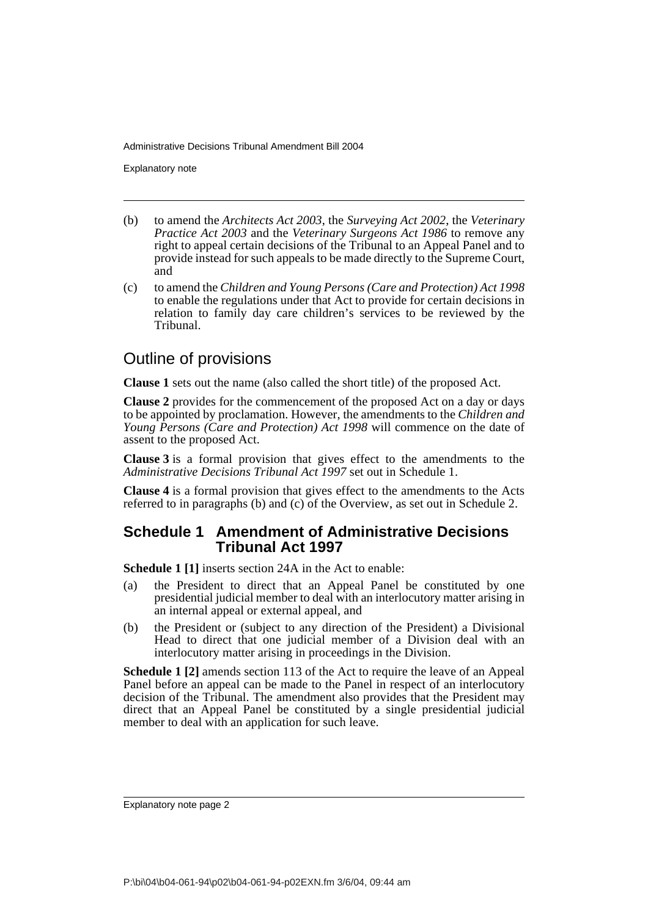Explanatory note

- (b) to amend the *Architects Act 2003*, the *Surveying Act 2002*, the *Veterinary Practice Act 2003* and the *Veterinary Surgeons Act 1986* to remove any right to appeal certain decisions of the Tribunal to an Appeal Panel and to provide instead for such appeals to be made directly to the Supreme Court, and
- (c) to amend the *Children and Young Persons (Care and Protection) Act 1998* to enable the regulations under that Act to provide for certain decisions in relation to family day care children's services to be reviewed by the Tribunal.

## Outline of provisions

**Clause 1** sets out the name (also called the short title) of the proposed Act.

**Clause 2** provides for the commencement of the proposed Act on a day or days to be appointed by proclamation. However, the amendments to the *Children and Young Persons (Care and Protection) Act 1998* will commence on the date of assent to the proposed Act.

**Clause 3** is a formal provision that gives effect to the amendments to the *Administrative Decisions Tribunal Act 1997* set out in Schedule 1.

**Clause 4** is a formal provision that gives effect to the amendments to the Acts referred to in paragraphs (b) and (c) of the Overview, as set out in Schedule 2.

#### **Schedule 1 Amendment of Administrative Decisions Tribunal Act 1997**

**Schedule 1 [1]** inserts section 24A in the Act to enable:

- (a) the President to direct that an Appeal Panel be constituted by one presidential judicial member to deal with an interlocutory matter arising in an internal appeal or external appeal, and
- (b) the President or (subject to any direction of the President) a Divisional Head to direct that one judicial member of a Division deal with an interlocutory matter arising in proceedings in the Division.

**Schedule 1 [2]** amends section 113 of the Act to require the leave of an Appeal Panel before an appeal can be made to the Panel in respect of an interlocutory decision of the Tribunal. The amendment also provides that the President may direct that an Appeal Panel be constituted by a single presidential judicial member to deal with an application for such leave.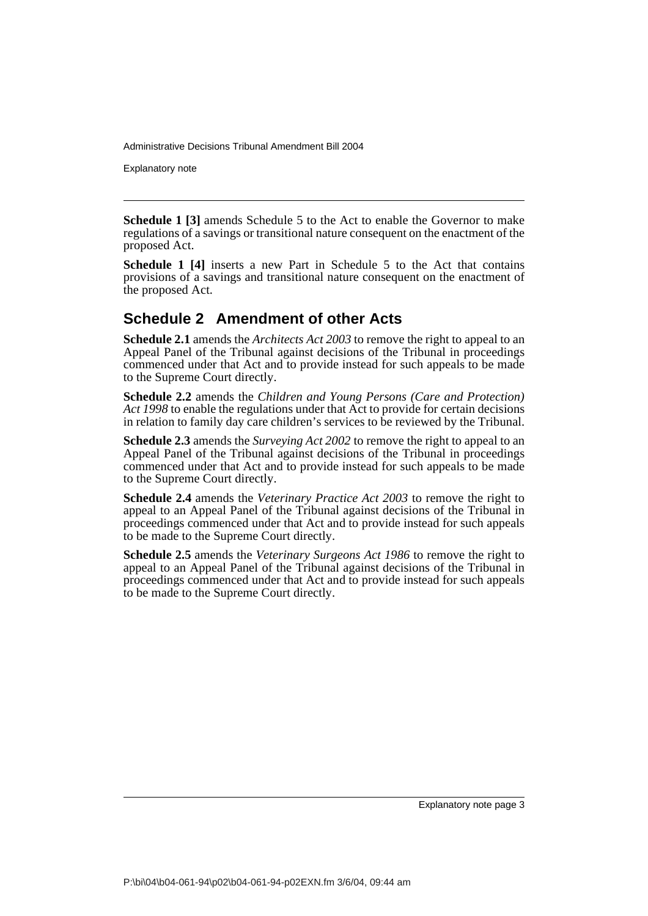Explanatory note

**Schedule 1 [3]** amends Schedule 5 to the Act to enable the Governor to make regulations of a savings or transitional nature consequent on the enactment of the proposed Act.

**Schedule 1 [4]** inserts a new Part in Schedule 5 to the Act that contains provisions of a savings and transitional nature consequent on the enactment of the proposed Act.

## **Schedule 2 Amendment of other Acts**

**Schedule 2.1** amends the *Architects Act 2003* to remove the right to appeal to an Appeal Panel of the Tribunal against decisions of the Tribunal in proceedings commenced under that Act and to provide instead for such appeals to be made to the Supreme Court directly.

**Schedule 2.2** amends the *Children and Young Persons (Care and Protection) Act 1998* to enable the regulations under that Act to provide for certain decisions in relation to family day care children's services to be reviewed by the Tribunal.

**Schedule 2.3** amends the *Surveying Act 2002* to remove the right to appeal to an Appeal Panel of the Tribunal against decisions of the Tribunal in proceedings commenced under that Act and to provide instead for such appeals to be made to the Supreme Court directly.

**Schedule 2.4** amends the *Veterinary Practice Act 2003* to remove the right to appeal to an Appeal Panel of the Tribunal against decisions of the Tribunal in proceedings commenced under that Act and to provide instead for such appeals to be made to the Supreme Court directly.

**Schedule 2.5** amends the *Veterinary Surgeons Act 1986* to remove the right to appeal to an Appeal Panel of the Tribunal against decisions of the Tribunal in proceedings commenced under that Act and to provide instead for such appeals to be made to the Supreme Court directly.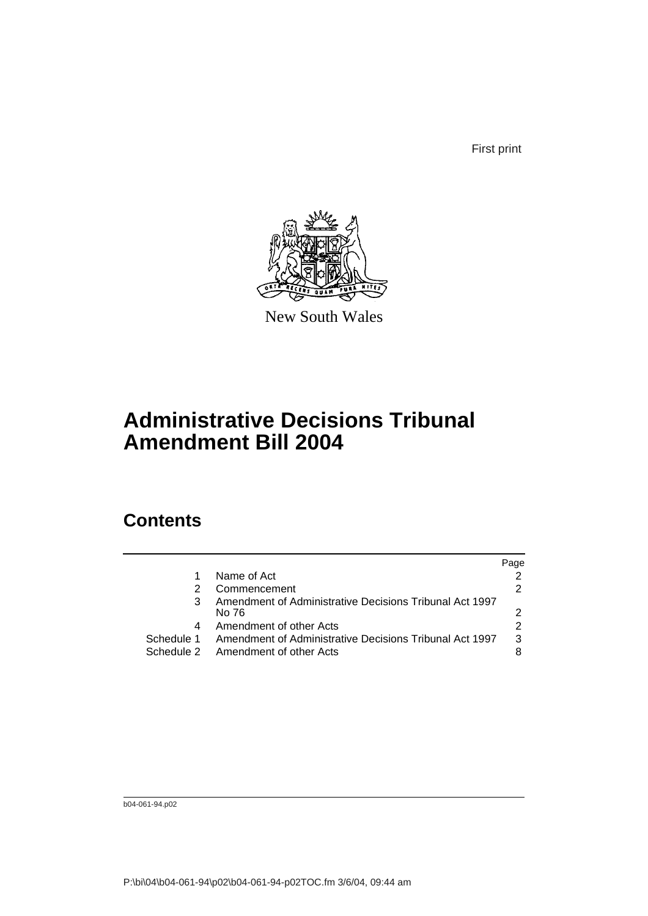First print



New South Wales

# **Administrative Decisions Tribunal Amendment Bill 2004**

# **Contents**

|            |                                                         | Page |
|------------|---------------------------------------------------------|------|
|            | Name of Act                                             |      |
|            | Commencement                                            |      |
|            | Amendment of Administrative Decisions Tribunal Act 1997 |      |
|            | No 76                                                   |      |
| 4          | Amendment of other Acts                                 |      |
| Schedule 1 | Amendment of Administrative Decisions Tribunal Act 1997 | 3    |
|            | Schedule 2 Amendment of other Acts                      |      |
|            |                                                         |      |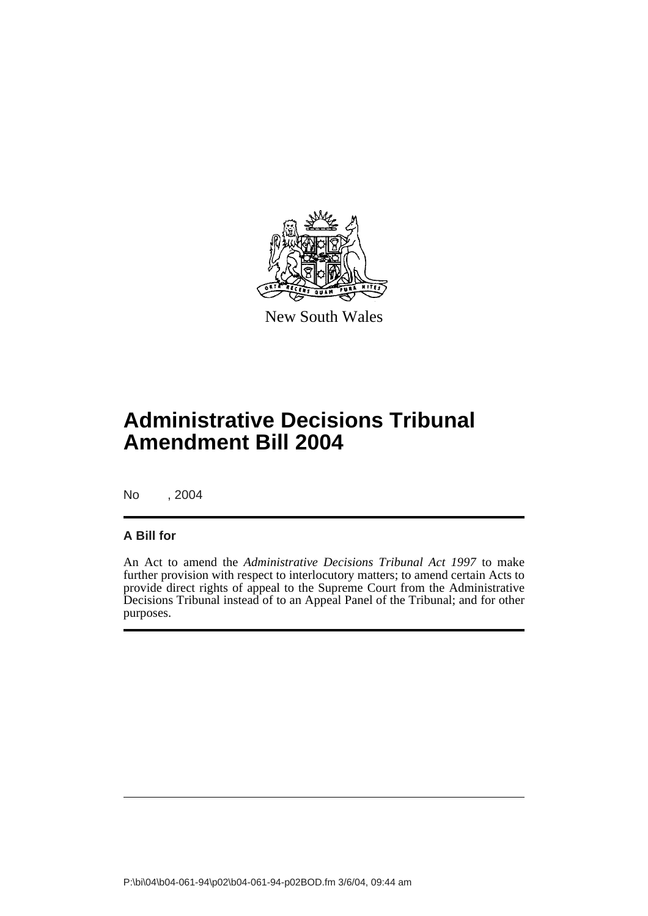

New South Wales

# **Administrative Decisions Tribunal Amendment Bill 2004**

No , 2004

### **A Bill for**

An Act to amend the *Administrative Decisions Tribunal Act 1997* to make further provision with respect to interlocutory matters; to amend certain Acts to provide direct rights of appeal to the Supreme Court from the Administrative Decisions Tribunal instead of to an Appeal Panel of the Tribunal; and for other purposes.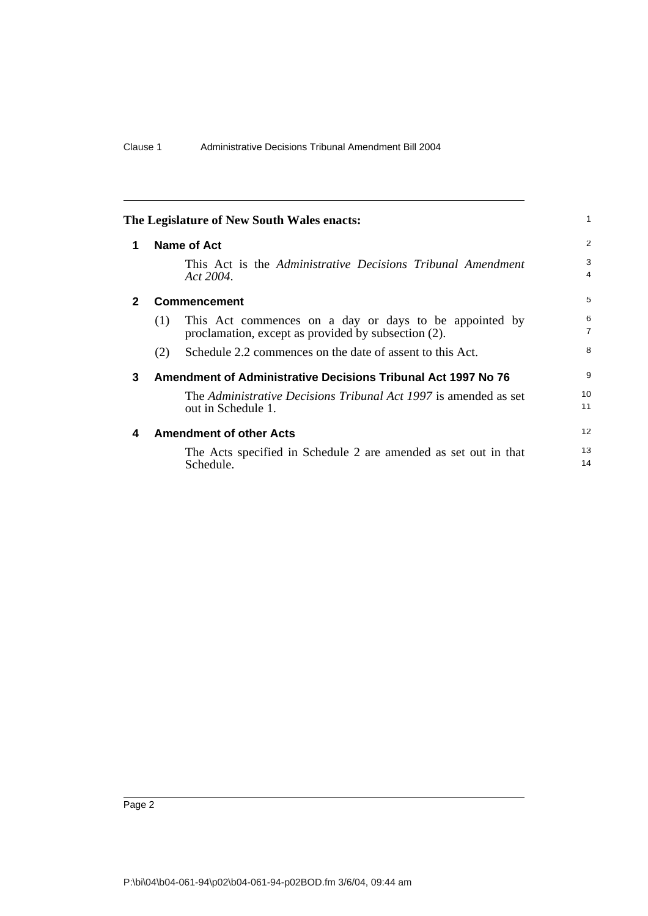<span id="page-7-3"></span><span id="page-7-2"></span><span id="page-7-1"></span><span id="page-7-0"></span>

|              | The Legislature of New South Wales enacts:                                                                           |                     |
|--------------|----------------------------------------------------------------------------------------------------------------------|---------------------|
| 1            | <b>Name of Act</b>                                                                                                   | $\overline{2}$      |
|              | This Act is the Administrative Decisions Tribunal Amendment<br>Act 2004.                                             | 3<br>4              |
| $\mathbf{2}$ | <b>Commencement</b>                                                                                                  | 5                   |
|              | This Act commences on a day or days to be appointed by<br>(1)<br>proclamation, except as provided by subsection (2). | 6<br>$\overline{7}$ |
|              | Schedule 2.2 commences on the date of assent to this Act.<br>(2)                                                     | 8                   |
| 3            | Amendment of Administrative Decisions Tribunal Act 1997 No 76                                                        | 9                   |
|              | The Administrative Decisions Tribunal Act 1997 is amended as set<br>out in Schedule 1.                               | 10<br>11            |
| 4            | <b>Amendment of other Acts</b>                                                                                       | 12                  |
|              | The Acts specified in Schedule 2 are amended as set out in that<br>Schedule.                                         | 13<br>14            |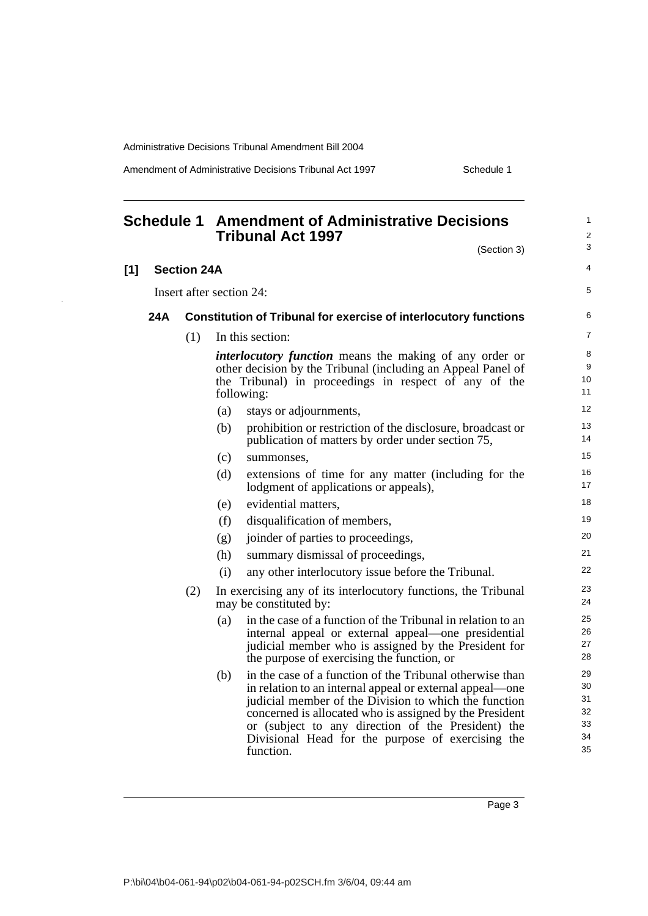Amendment of Administrative Decisions Tribunal Act 1997 Schedule 1

### <span id="page-8-0"></span>**Schedule 1 Amendment of Administrative Decisions Tribunal Act 1997**

| (Section 3)                                                                                                                                                                                                              | 3                       |
|--------------------------------------------------------------------------------------------------------------------------------------------------------------------------------------------------------------------------|-------------------------|
|                                                                                                                                                                                                                          | $\overline{\mathbf{4}}$ |
| 124:                                                                                                                                                                                                                     | 5                       |
| n of Tribunal for exercise of interlocutory functions                                                                                                                                                                    | 6                       |
| s section:                                                                                                                                                                                                               | $\overline{7}$          |
| <i>ocutory function</i> means the making of any order or<br>decision by the Tribunal (including an Appeal Panel of<br>ribunal) in proceedings in respect of any of the<br>$\sin g$ :                                     | 8<br>9<br>10<br>11      |
| stays or adjournments,                                                                                                                                                                                                   | 12                      |
| prohibition or restriction of the disclosure, broadcast or<br>publication of matters by order under section 75,                                                                                                          | 13<br>14                |
| summonses.                                                                                                                                                                                                               | 15                      |
| extensions of time for any matter (including for the<br>lodgment of applications or appeals),                                                                                                                            | 16<br>17                |
| evidential matters,                                                                                                                                                                                                      | 18                      |
| disqualification of members,                                                                                                                                                                                             | 19                      |
| joinder of parties to proceedings,                                                                                                                                                                                       | 20                      |
| summary dismissal of proceedings,                                                                                                                                                                                        | 21                      |
| any other interlocutory issue before the Tribunal.                                                                                                                                                                       | 22                      |
| ercising any of its interlocutory functions, the Tribunal<br>e constituted by:                                                                                                                                           | 23<br>24                |
| in the case of a function of the Tribunal in relation to an<br>internal appeal or external appeal—one presidential<br>judicial member who is assigned by the President for<br>the purpose of exercising the function, or | 25<br>26<br>27<br>28    |
| in the case of a function of the Tribunal otherwise than<br>in relation to an internal appeal or external appeal—one<br>indicial member of the Division to which the function                                            | 29<br>30<br>31          |

 $(b)$  in the case of a function of the Tribu in relation to an internal appeal or external judicial member of the Division to which the function concerned is allocated who is assigned by the President or (subject to any direction of the President) the Divisional Head for the purpose of exercising the function.

Page 3

**[1] Section 24A**

Insert after section 24:

### **24A** Constitution of Tribunal for exercise of inter

(1) In this section:

*interlocutory function* means the making other decision by the Tribunal (including the Tribunal) in proceedings in respectively following:

- (a) stays or adjournments,  $(b)$  prohibition or restriction of the disc
- publication of matters by order und (c) summonses,
- $(d)$  extensions of time for any matter lodgment of applications or appeals),
- (e) evidential matters,
- (f) disqualification of members,
- (g) joinder of parties to proceedings, (h) summary dismissal of proceedings,
- (i) any other interlocutory issue before
- $(2)$  In exercising any of its interlocutory fun may be constituted by:
	- (a) in the case of a function of the Tribu internal appeal or external appea judicial member who is assigned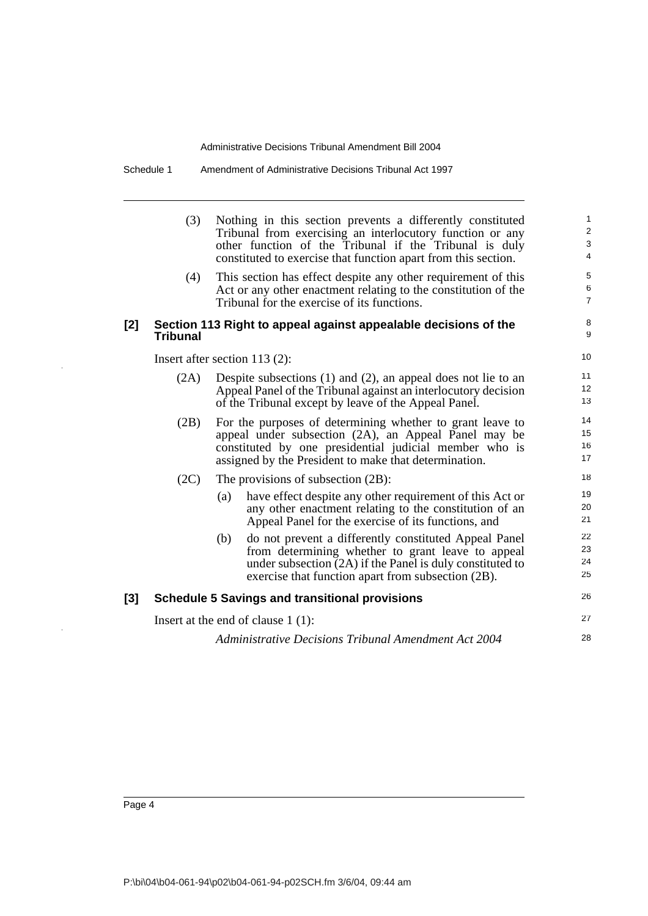Schedule 1 Amendment of Administrative Decisions Tribunal Act 1997

|     | (3)             | Nothing in this section prevents a differently constituted<br>Tribunal from exercising an interlocutory function or any<br>other function of the Tribunal if the Tribunal is duly<br>constituted to exercise that function apart from this section. | $\mathbf{1}$<br>$\sqrt{2}$<br>$\ensuremath{\mathsf{3}}$<br>$\overline{4}$ |
|-----|-----------------|-----------------------------------------------------------------------------------------------------------------------------------------------------------------------------------------------------------------------------------------------------|---------------------------------------------------------------------------|
|     | (4)             | This section has effect despite any other requirement of this<br>Act or any other enactment relating to the constitution of the<br>Tribunal for the exercise of its functions.                                                                      | $\,$ 5 $\,$<br>6<br>$\overline{7}$                                        |
| [2] | <b>Tribunal</b> | Section 113 Right to appeal against appealable decisions of the                                                                                                                                                                                     | 8<br>9                                                                    |
|     |                 | Insert after section $113(2)$ :                                                                                                                                                                                                                     | 10                                                                        |
|     | (2A)            | Despite subsections $(1)$ and $(2)$ , an appeal does not lie to an<br>Appeal Panel of the Tribunal against an interlocutory decision<br>of the Tribunal except by leave of the Appeal Panel.                                                        | 11<br>12<br>13                                                            |
|     | (2B)            | For the purposes of determining whether to grant leave to<br>appeal under subsection (2A), an Appeal Panel may be<br>constituted by one presidential judicial member who is<br>assigned by the President to make that determination.                | 14<br>15<br>16<br>17                                                      |
|     | (2C)            | The provisions of subsection $(2B)$ :                                                                                                                                                                                                               | 18                                                                        |
|     |                 | have effect despite any other requirement of this Act or<br>(a)<br>any other enactment relating to the constitution of an<br>Appeal Panel for the exercise of its functions, and                                                                    | 19<br>20<br>21                                                            |
|     |                 | do not prevent a differently constituted Appeal Panel<br>(b)<br>from determining whether to grant leave to appeal<br>under subsection $(2A)$ if the Panel is duly constituted to<br>exercise that function apart from subsection (2B).              | 22<br>23<br>24<br>25                                                      |
| [3] |                 | <b>Schedule 5 Savings and transitional provisions</b>                                                                                                                                                                                               | 26                                                                        |
|     |                 | Insert at the end of clause $1(1)$ :                                                                                                                                                                                                                | 27                                                                        |
|     |                 | Administrative Decisions Tribunal Amendment Act 2004                                                                                                                                                                                                | 28                                                                        |

 $\hat{\boldsymbol{\gamma}}$ 

l,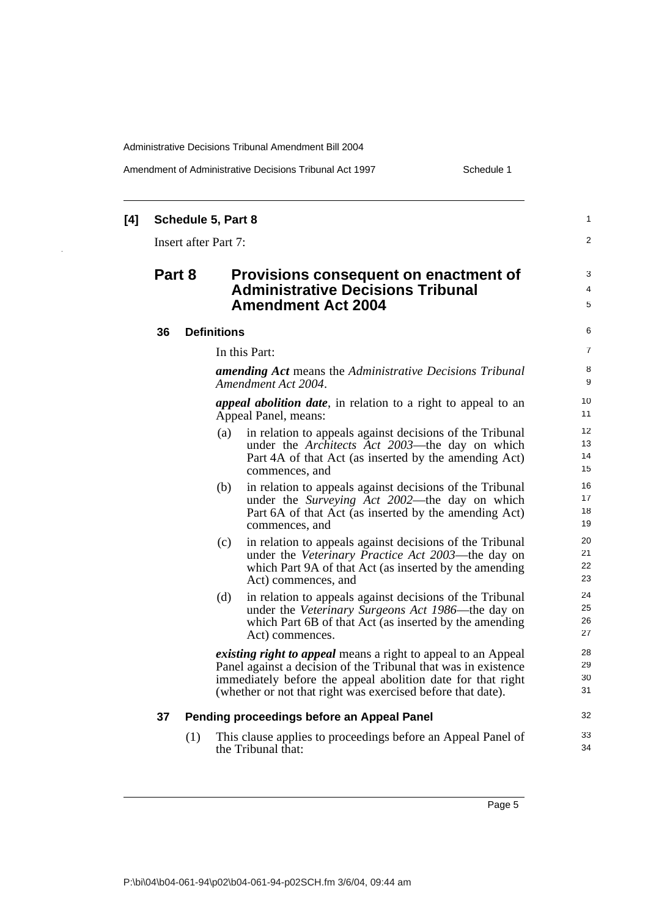$\overline{\phantom{a}}$ 

Amendment of Administrative Decisions Tribunal Act 1997 Schedule 1

| [4] |                                                                                                                          |     | Schedule 5, Part 8          |                                                                                                                                                                                                                                                                      | $\mathbf{1}$                      |
|-----|--------------------------------------------------------------------------------------------------------------------------|-----|-----------------------------|----------------------------------------------------------------------------------------------------------------------------------------------------------------------------------------------------------------------------------------------------------------------|-----------------------------------|
|     |                                                                                                                          |     | <b>Insert after Part 7:</b> |                                                                                                                                                                                                                                                                      | $\overline{2}$                    |
|     | Part 8<br>Provisions consequent on enactment of<br><b>Administrative Decisions Tribunal</b><br><b>Amendment Act 2004</b> |     |                             |                                                                                                                                                                                                                                                                      |                                   |
|     | 36                                                                                                                       |     | <b>Definitions</b>          |                                                                                                                                                                                                                                                                      | 6                                 |
|     |                                                                                                                          |     | In this Part:               |                                                                                                                                                                                                                                                                      | $\overline{7}$                    |
|     |                                                                                                                          |     |                             | <b>amending Act</b> means the Administrative Decisions Tribunal<br>Amendment Act 2004.                                                                                                                                                                               | 8<br>9                            |
|     |                                                                                                                          |     |                             | <i>appeal abolition date</i> , in relation to a right to appeal to an<br>Appeal Panel, means:                                                                                                                                                                        | 10<br>11                          |
|     |                                                                                                                          |     | (a)                         | in relation to appeals against decisions of the Tribunal<br>under the Architects Act 2003—the day on which<br>Part 4A of that Act (as inserted by the amending Act)<br>commences, and                                                                                | 12 <sup>2</sup><br>13<br>14<br>15 |
|     |                                                                                                                          |     | (b)                         | in relation to appeals against decisions of the Tribunal<br>under the Surveying Act 2002—the day on which<br>Part 6A of that Act (as inserted by the amending Act)<br>commences, and                                                                                 | 16<br>17<br>18<br>19              |
|     |                                                                                                                          |     | (c)                         | in relation to appeals against decisions of the Tribunal<br>under the Veterinary Practice Act 2003—the day on<br>which Part 9A of that Act (as inserted by the amending<br>Act) commences, and                                                                       | 20<br>21<br>22<br>23              |
|     |                                                                                                                          |     | (d)                         | in relation to appeals against decisions of the Tribunal<br>under the Veterinary Surgeons Act 1986—the day on<br>which Part 6B of that Act (as inserted by the amending<br>Act) commences.                                                                           | 24<br>25<br>26<br>27              |
|     |                                                                                                                          |     |                             | <i>existing right to appeal</i> means a right to appeal to an Appeal<br>Panel against a decision of the Tribunal that was in existence<br>immediately before the appeal abolition date for that right<br>(whether or not that right was exercised before that date). | 28<br>29<br>30<br>31              |
|     | 37                                                                                                                       |     |                             | Pending proceedings before an Appeal Panel                                                                                                                                                                                                                           | 32                                |
|     |                                                                                                                          | (1) |                             | This clause applies to proceedings before an Appeal Panel of<br>the Tribunal that:                                                                                                                                                                                   | 33<br>34                          |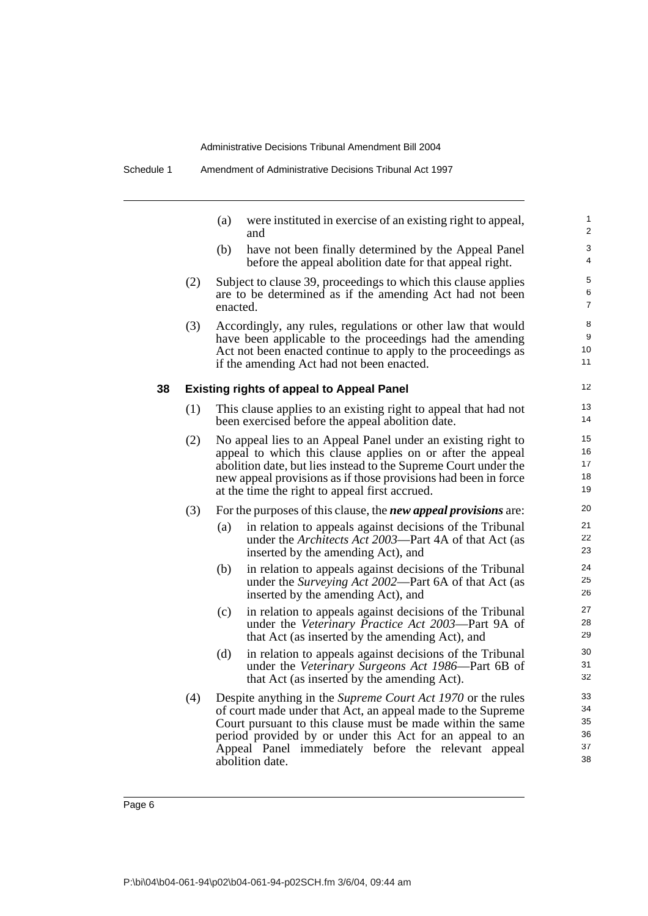|  | Schedule 1 | Amendment of Administrative Decisions Tribunal Act 1997 |  |
|--|------------|---------------------------------------------------------|--|
|--|------------|---------------------------------------------------------|--|

|    |     | (a)      | were instituted in exercise of an existing right to appeal,<br>and                                                                                                                                                                                                                                                                    | 1<br>2                           |
|----|-----|----------|---------------------------------------------------------------------------------------------------------------------------------------------------------------------------------------------------------------------------------------------------------------------------------------------------------------------------------------|----------------------------------|
|    |     | (b)      | have not been finally determined by the Appeal Panel<br>before the appeal abolition date for that appeal right.                                                                                                                                                                                                                       | 3<br>4                           |
|    | (2) | enacted. | Subject to clause 39, proceedings to which this clause applies<br>are to be determined as if the amending Act had not been                                                                                                                                                                                                            | 5<br>6<br>7                      |
|    | (3) |          | Accordingly, any rules, regulations or other law that would<br>have been applicable to the proceedings had the amending<br>Act not been enacted continue to apply to the proceedings as<br>if the amending Act had not been enacted.                                                                                                  | 8<br>9<br>10<br>11               |
| 38 |     |          | <b>Existing rights of appeal to Appeal Panel</b>                                                                                                                                                                                                                                                                                      | 12                               |
|    | (1) |          | This clause applies to an existing right to appeal that had not<br>been exercised before the appeal abolition date.                                                                                                                                                                                                                   | 13<br>14                         |
|    | (2) |          | No appeal lies to an Appeal Panel under an existing right to<br>appeal to which this clause applies on or after the appeal<br>abolition date, but lies instead to the Supreme Court under the<br>new appeal provisions as if those provisions had been in force<br>at the time the right to appeal first accrued.                     | 15<br>16<br>17<br>18<br>19       |
|    | (3) |          | For the purposes of this clause, the <i>new appeal provisions</i> are:                                                                                                                                                                                                                                                                | 20                               |
|    |     | (a)      | in relation to appeals against decisions of the Tribunal<br>under the <i>Architects Act 2003</i> —Part 4A of that Act (as<br>inserted by the amending Act), and                                                                                                                                                                       | 21<br>22<br>23                   |
|    |     | (b)      | in relation to appeals against decisions of the Tribunal<br>under the <i>Surveying Act 2002</i> —Part 6A of that Act (as<br>inserted by the amending Act), and                                                                                                                                                                        | 24<br>25<br>26                   |
|    |     | (c)      | in relation to appeals against decisions of the Tribunal<br>under the Veterinary Practice Act 2003-Part 9A of<br>that Act (as inserted by the amending Act), and                                                                                                                                                                      | 27<br>28<br>29                   |
|    |     | (d)      | in relation to appeals against decisions of the Tribunal<br>under the Veterinary Surgeons Act 1986—Part 6B of<br>that Act (as inserted by the amending Act).                                                                                                                                                                          | 30<br>31<br>32                   |
|    | (4) |          | Despite anything in the <i>Supreme Court Act 1970</i> or the rules<br>of court made under that Act, an appeal made to the Supreme<br>Court pursuant to this clause must be made within the same<br>period provided by or under this Act for an appeal to an<br>Appeal Panel immediately before the relevant appeal<br>abolition date. | 33<br>34<br>35<br>36<br>37<br>38 |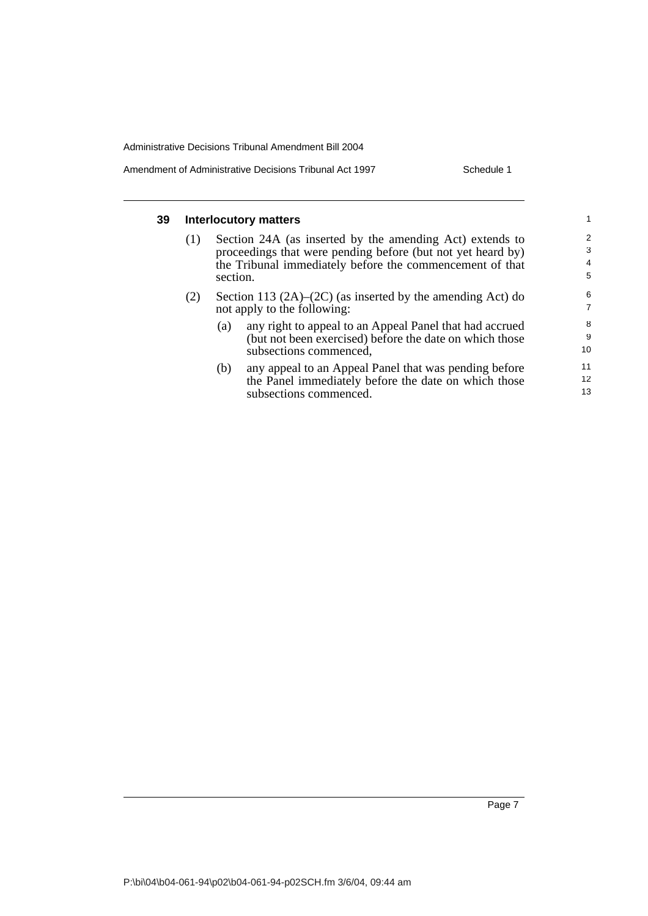Amendment of Administrative Decisions Tribunal Act 1997 Schedule 1

| 39 | <b>Interlocutory matters</b> |          |                                                                  |                 |  |  |
|----|------------------------------|----------|------------------------------------------------------------------|-----------------|--|--|
|    | (1)                          |          | Section 24A (as inserted by the amending Act) extends to         | 2               |  |  |
|    |                              |          | proceedings that were pending before (but not yet heard by)      | 3               |  |  |
|    |                              |          | the Tribunal immediately before the commencement of that         | $\overline{4}$  |  |  |
|    |                              | section. |                                                                  | 5               |  |  |
|    | (2)                          |          | Section 113 $(2A)$ – $(2C)$ (as inserted by the amending Act) do | 6               |  |  |
|    |                              |          | not apply to the following:                                      | $\overline{7}$  |  |  |
|    |                              | (a)      | any right to appeal to an Appeal Panel that had accrued          | 8               |  |  |
|    |                              |          | (but not been exercised) before the date on which those          | 9               |  |  |
|    |                              |          | subsections commenced,                                           | 10              |  |  |
|    |                              | (b)      | any appeal to an Appeal Panel that was pending before            | 11              |  |  |
|    |                              |          | the Panel immediately before the date on which those             | 12 <sup>2</sup> |  |  |
|    |                              |          | subsections commenced                                            | 13              |  |  |

subsections commenced.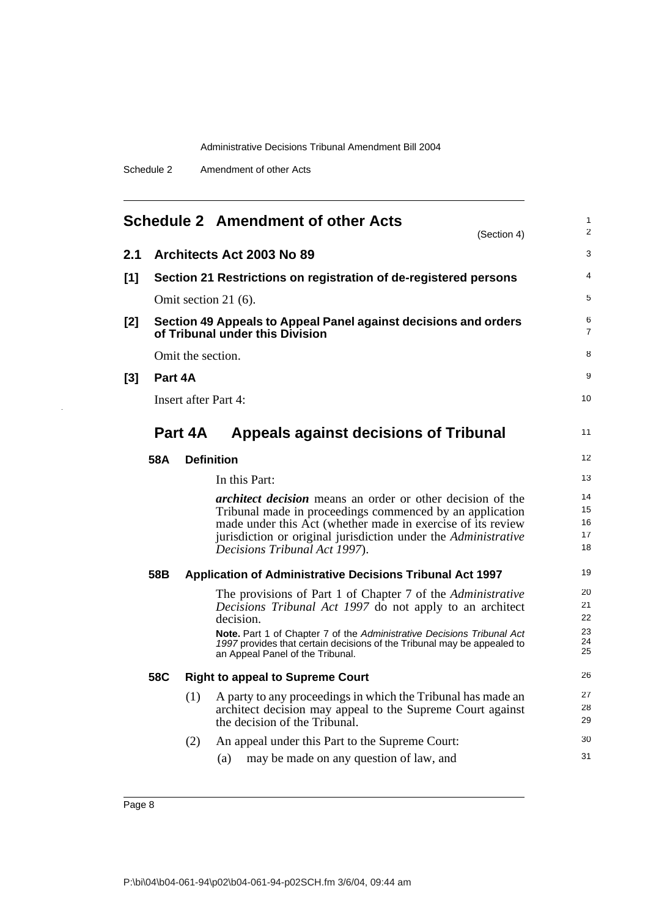|  | Amendment of other Acts | Schedule 2 |
|--|-------------------------|------------|
|--|-------------------------|------------|

<span id="page-13-0"></span>

|       |         |                   | <b>Schedule 2 Amendment of other Acts</b><br>(Section 4)                                                                                                                                                                                                                                                                             | 1<br>$\overline{2}$              |
|-------|---------|-------------------|--------------------------------------------------------------------------------------------------------------------------------------------------------------------------------------------------------------------------------------------------------------------------------------------------------------------------------------|----------------------------------|
| 2.1   |         |                   | Architects Act 2003 No 89                                                                                                                                                                                                                                                                                                            | 3                                |
| $[1]$ |         |                   | Section 21 Restrictions on registration of de-registered persons                                                                                                                                                                                                                                                                     | 4                                |
|       |         |                   | Omit section 21 (6).                                                                                                                                                                                                                                                                                                                 | 5                                |
| [2]   |         |                   | Section 49 Appeals to Appeal Panel against decisions and orders<br>of Tribunal under this Division                                                                                                                                                                                                                                   | 6<br>7                           |
|       |         | Omit the section. |                                                                                                                                                                                                                                                                                                                                      | 8                                |
| [3]   | Part 4A |                   |                                                                                                                                                                                                                                                                                                                                      | 9                                |
|       |         |                   | <b>Insert after Part 4:</b>                                                                                                                                                                                                                                                                                                          | 10                               |
|       |         | Part 4A           | <b>Appeals against decisions of Tribunal</b>                                                                                                                                                                                                                                                                                         | 11                               |
|       | 58A     |                   | <b>Definition</b>                                                                                                                                                                                                                                                                                                                    | 12                               |
|       |         |                   | In this Part:                                                                                                                                                                                                                                                                                                                        | 13                               |
|       |         |                   | <i>architect decision</i> means an order or other decision of the<br>Tribunal made in proceedings commenced by an application<br>made under this Act (whether made in exercise of its review<br>jurisdiction or original jurisdiction under the Administrative<br>Decisions Tribunal Act 1997).                                      | 14<br>15<br>16<br>17<br>18       |
|       | 58B     |                   | <b>Application of Administrative Decisions Tribunal Act 1997</b>                                                                                                                                                                                                                                                                     | 19                               |
|       |         |                   | The provisions of Part 1 of Chapter 7 of the Administrative<br>Decisions Tribunal Act 1997 do not apply to an architect<br>decision.<br><b>Note.</b> Part 1 of Chapter 7 of the Administrative Decisions Tribunal Act<br>1997 provides that certain decisions of the Tribunal may be appealed to<br>an Appeal Panel of the Tribunal. | 20<br>21<br>22<br>23<br>24<br>25 |
|       | 58C     |                   | <b>Right to appeal to Supreme Court</b>                                                                                                                                                                                                                                                                                              | 26                               |
|       |         | (1)               | A party to any proceedings in which the Tribunal has made an<br>architect decision may appeal to the Supreme Court against<br>the decision of the Tribunal.                                                                                                                                                                          | 27<br>28<br>29                   |
|       |         | (2)               | An appeal under this Part to the Supreme Court:<br>may be made on any question of law, and<br>(a)                                                                                                                                                                                                                                    | 30<br>31                         |

 $\ddot{\phantom{1}}$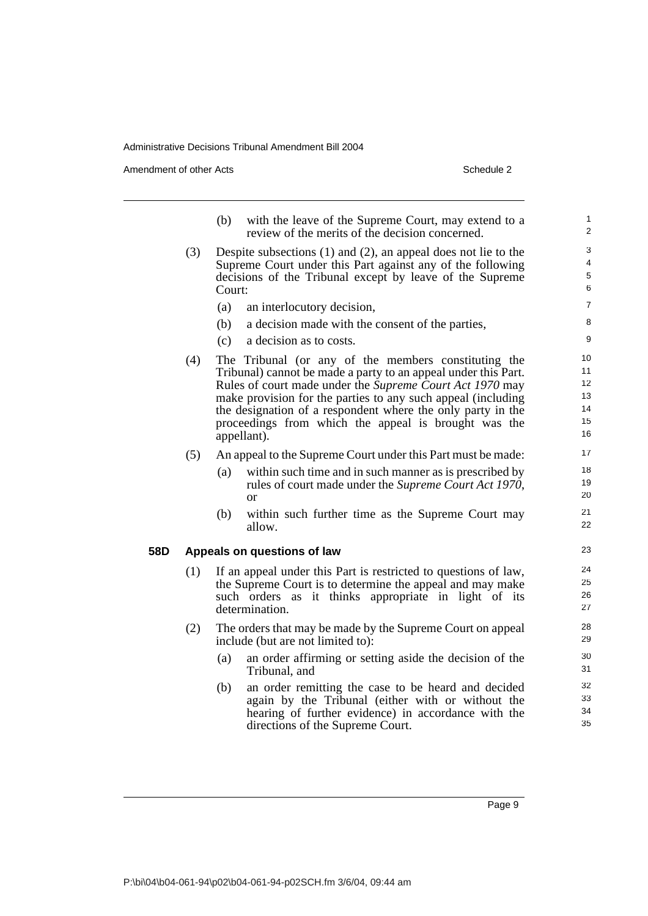Amendment of other Acts **Schedule 2** and the 2 and 2 and 2 and 2 and 2 and 2 and 2 and 2 and 2 and 2 and 2 and 2 and 2 and 2 and 2 and 2 and 2 and 2 and 2 and 2 and 2 and 2 and 2 and 2 and 2 and 2 and 2 and 2 and 2 and 2 a

- (b) with the leave of the Supreme Court, may extend to a review of the merits of the decision concerned.
- (3) Despite subsections (1) and (2), an appeal does not lie to the Supreme Court under this Part against any of the following decisions of the Tribunal except by leave of the Supreme Court:
	- (a) an interlocutory decision,
	- (b) a decision made with the consent of the parties,
	- (c) a decision as to costs.
- (4) The Tribunal (or any of the members constituting the Tribunal) cannot be made a party to an appeal under this Part. Rules of court made under the *Supreme Court Act 1970* may make provision for the parties to any such appeal (including the designation of a respondent where the only party in the proceedings from which the appeal is brought was the appellant).
- (5) An appeal to the Supreme Court under this Part must be made:
	- (a) within such time and in such manner as is prescribed by rules of court made under the *Supreme Court Act 1970*, or
	- (b) within such further time as the Supreme Court may allow.

#### **58D Appeals on questions of law**

- (1) If an appeal under this Part is restricted to questions of law, the Supreme Court is to determine the appeal and may make such orders as it thinks appropriate in light of its determination.
- (2) The orders that may be made by the Supreme Court on appeal include (but are not limited to):
	- (a) an order affirming or setting aside the decision of the Tribunal, and
	- (b) an order remitting the case to be heard and decided again by the Tribunal (either with or without the hearing of further evidence) in accordance with the directions of the Supreme Court.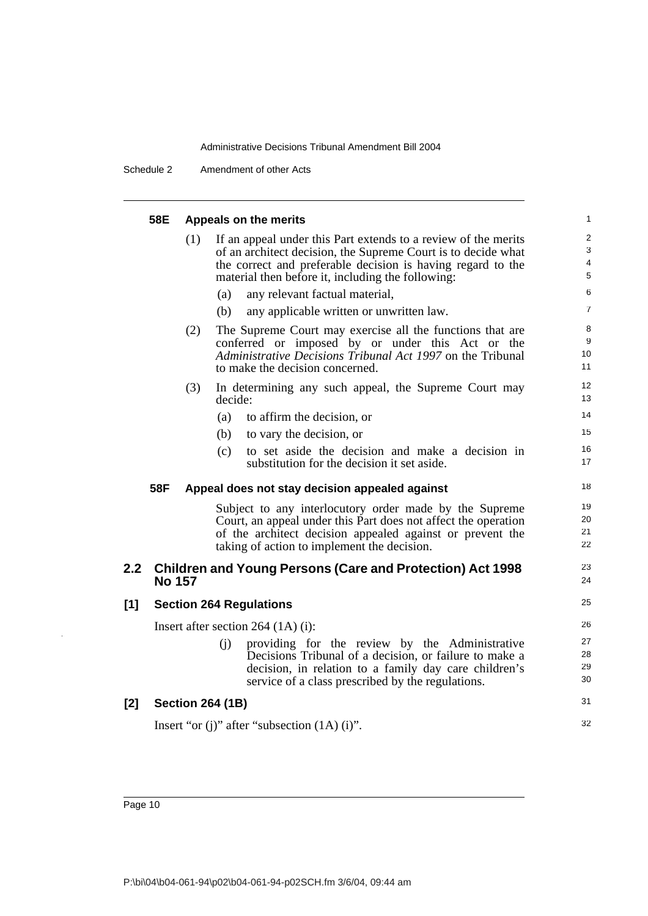Schedule 2 Amendment of other Acts

|     | 58E           |     | Appeals on the merits                                                                                                                                                                                                                               | 1                                                   |
|-----|---------------|-----|-----------------------------------------------------------------------------------------------------------------------------------------------------------------------------------------------------------------------------------------------------|-----------------------------------------------------|
|     |               | (1) | If an appeal under this Part extends to a review of the merits<br>of an architect decision, the Supreme Court is to decide what<br>the correct and preferable decision is having regard to the<br>material then before it, including the following: | $\overline{2}$<br>3<br>$\overline{\mathbf{4}}$<br>5 |
|     |               |     | any relevant factual material,<br>(a)                                                                                                                                                                                                               | 6                                                   |
|     |               |     | (b)<br>any applicable written or unwritten law.                                                                                                                                                                                                     | $\overline{7}$                                      |
|     |               | (2) | The Supreme Court may exercise all the functions that are<br>conferred or imposed by or under this Act or the<br>Administrative Decisions Tribunal Act 1997 on the Tribunal<br>to make the decision concerned.                                      | 8<br>9<br>10<br>11                                  |
|     |               | (3) | In determining any such appeal, the Supreme Court may<br>decide:                                                                                                                                                                                    | 12<br>13                                            |
|     |               |     | (a)<br>to affirm the decision, or                                                                                                                                                                                                                   | 14                                                  |
|     |               |     | (b)<br>to vary the decision, or                                                                                                                                                                                                                     | 15                                                  |
|     |               |     | to set aside the decision and make a decision in<br>(c)<br>substitution for the decision it set aside.                                                                                                                                              | 16<br>17                                            |
|     | 58F           |     | Appeal does not stay decision appealed against                                                                                                                                                                                                      | 18                                                  |
|     |               |     | Subject to any interlocutory order made by the Supreme<br>Court, an appeal under this Part does not affect the operation<br>of the architect decision appealed against or prevent the<br>taking of action to implement the decision.                | 19<br>20<br>21<br>22                                |
| 2.2 | <b>No 157</b> |     | <b>Children and Young Persons (Care and Protection) Act 1998</b>                                                                                                                                                                                    | 23<br>24                                            |
| [1] |               |     | <b>Section 264 Regulations</b>                                                                                                                                                                                                                      | 25                                                  |
|     |               |     | Insert after section $264 (1A)$ (i):                                                                                                                                                                                                                | 26                                                  |
|     |               |     | (i)<br>providing for the review by the Administrative<br>Decisions Tribunal of a decision, or failure to make a<br>decision, in relation to a family day care children's<br>service of a class prescribed by the regulations.                       | 27<br>28<br>29<br>30                                |
| [2] |               |     | <b>Section 264 (1B)</b>                                                                                                                                                                                                                             | 31                                                  |
|     |               |     | Insert "or (j)" after "subsection $(1A)$ (i)".                                                                                                                                                                                                      | 32                                                  |
|     |               |     |                                                                                                                                                                                                                                                     |                                                     |

 $\bar{z}$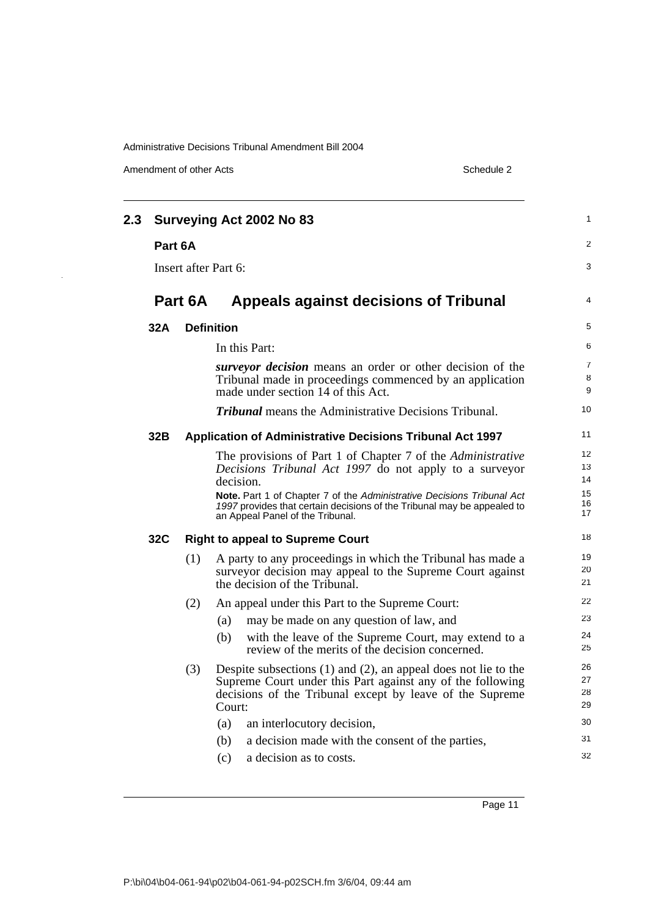Amendment of other Acts Schedule 2

 $\ddot{\phantom{a}}$ 

| 2.3 |         |         | Surveying Act 2002 No 83                                                                                                                                                                                                                                                                       | $\mathbf{1}$                                    |
|-----|---------|---------|------------------------------------------------------------------------------------------------------------------------------------------------------------------------------------------------------------------------------------------------------------------------------------------------|-------------------------------------------------|
|     | Part 6A |         |                                                                                                                                                                                                                                                                                                | $\overline{2}$                                  |
|     |         |         | Insert after Part 6:                                                                                                                                                                                                                                                                           | 3                                               |
|     |         | Part 6A | Appeals against decisions of Tribunal                                                                                                                                                                                                                                                          | $\overline{4}$                                  |
|     | 32A     |         | <b>Definition</b>                                                                                                                                                                                                                                                                              | 5                                               |
|     |         |         | In this Part:                                                                                                                                                                                                                                                                                  | 6                                               |
|     |         |         | surveyor decision means an order or other decision of the<br>Tribunal made in proceedings commenced by an application<br>made under section 14 of this Act.                                                                                                                                    | $\overline{7}$<br>8<br>9                        |
|     |         |         | <b>Tribunal</b> means the Administrative Decisions Tribunal.                                                                                                                                                                                                                                   | 10                                              |
|     | 32B     |         | Application of Administrative Decisions Tribunal Act 1997                                                                                                                                                                                                                                      | 11                                              |
|     |         |         | The provisions of Part 1 of Chapter 7 of the Administrative<br>Decisions Tribunal Act 1997 do not apply to a surveyor<br>decision.<br><b>Note.</b> Part 1 of Chapter 7 of the Administrative Decisions Tribunal Act<br>1997 provides that certain decisions of the Tribunal may be appealed to | $12 \overline{ }$<br>13<br>14<br>15<br>16<br>17 |
|     | 32C     |         | an Appeal Panel of the Tribunal.<br><b>Right to appeal to Supreme Court</b>                                                                                                                                                                                                                    | 18                                              |
|     |         | (1)     | A party to any proceedings in which the Tribunal has made a<br>surveyor decision may appeal to the Supreme Court against<br>the decision of the Tribunal.                                                                                                                                      | 19<br>20<br>21                                  |
|     |         | (2)     | An appeal under this Part to the Supreme Court:                                                                                                                                                                                                                                                | 22                                              |
|     |         |         | may be made on any question of law, and<br>(a)<br>with the leave of the Supreme Court, may extend to a<br>(b)<br>review of the merits of the decision concerned.                                                                                                                               | 23<br>24<br>25                                  |
|     |         | (3)     | Despite subsections $(1)$ and $(2)$ , an appeal does not lie to the<br>Supreme Court under this Part against any of the following<br>decisions of the Tribunal except by leave of the Supreme<br>Court:                                                                                        | 26<br>27<br>28<br>29                            |
|     |         |         | an interlocutory decision,<br>(a)                                                                                                                                                                                                                                                              | 30                                              |
|     |         |         | a decision made with the consent of the parties,<br>(b)                                                                                                                                                                                                                                        | 31                                              |
|     |         |         | (c)<br>a decision as to costs.                                                                                                                                                                                                                                                                 | 32                                              |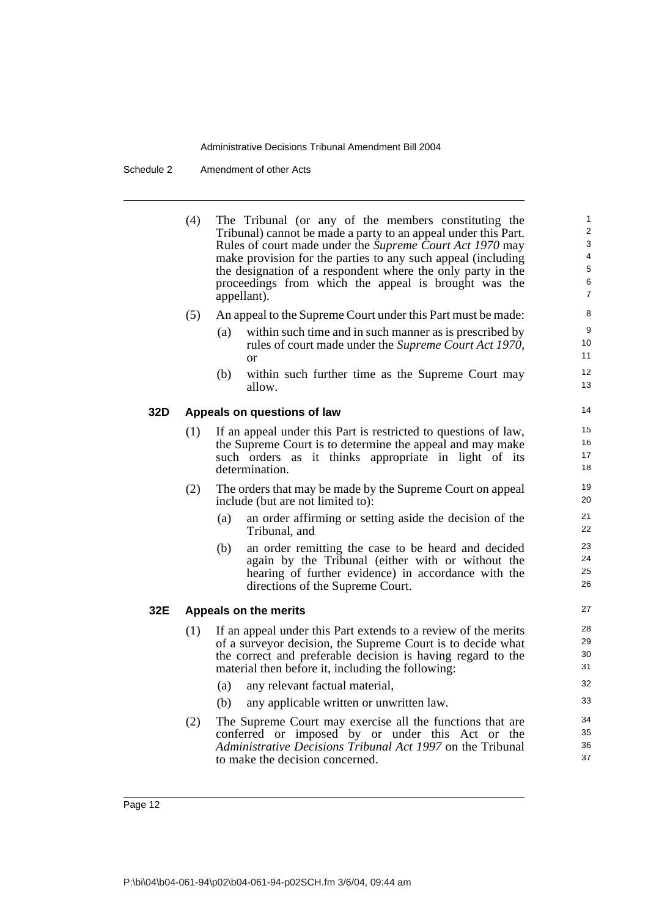Schedule 2 Amendment of other Acts

(4) The Tribunal (or any of the members constituting the Tribunal) cannot be made a party to an appeal under this Part. Rules of court made under the *Supreme Court Act 1970* may make provision for the parties to any such appeal (including the designation of a respondent where the only party in the proceedings from which the appeal is brought was the appellant).

- (5) An appeal to the Supreme Court under this Part must be made:
	- (a) within such time and in such manner as is prescribed by rules of court made under the *Supreme Court Act 1970*, or
	- (b) within such further time as the Supreme Court may allow.

#### **32D Appeals on questions of law**

- (1) If an appeal under this Part is restricted to questions of law, the Supreme Court is to determine the appeal and may make such orders as it thinks appropriate in light of its determination.
- (2) The orders that may be made by the Supreme Court on appeal include (but are not limited to):
	- (a) an order affirming or setting aside the decision of the Tribunal, and
	- (b) an order remitting the case to be heard and decided again by the Tribunal (either with or without the hearing of further evidence) in accordance with the directions of the Supreme Court.

#### **32E Appeals on the merits**

- (1) If an appeal under this Part extends to a review of the merits of a surveyor decision, the Supreme Court is to decide what the correct and preferable decision is having regard to the material then before it, including the following:
	- (a) any relevant factual material,
	- (b) any applicable written or unwritten law.
- (2) The Supreme Court may exercise all the functions that are conferred or imposed by or under this Act or the *Administrative Decisions Tribunal Act 1997* on the Tribunal to make the decision concerned.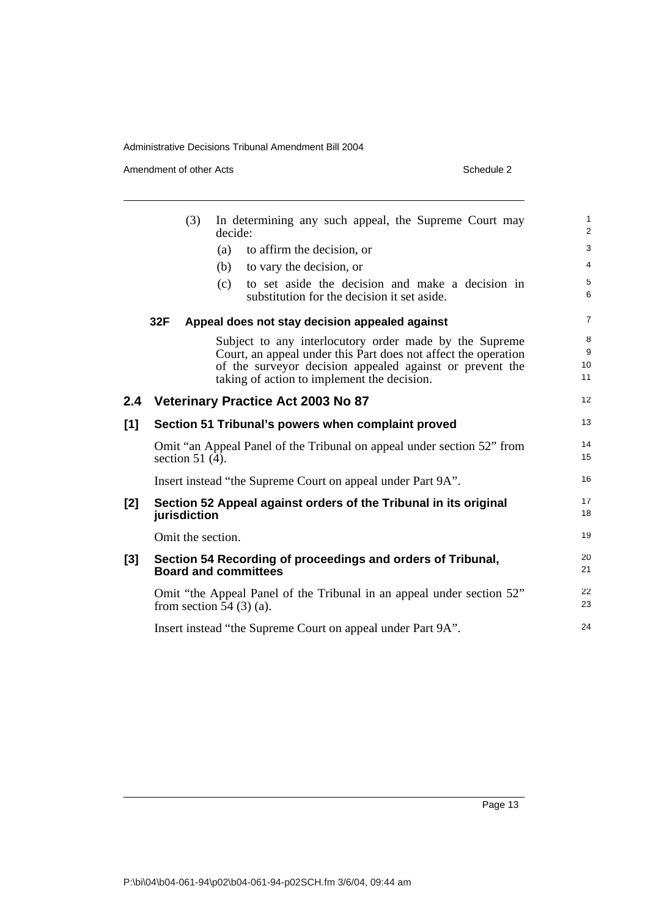Amendment of other Acts Schedule 2

|     | (3)               | In determining any such appeal, the Supreme Court may<br>decide:                                       | $\mathbf{1}$<br>2 |
|-----|-------------------|--------------------------------------------------------------------------------------------------------|-------------------|
|     |                   | to affirm the decision, or<br>(a)                                                                      | 3                 |
|     |                   | to vary the decision, or<br>(b)                                                                        | $\overline{4}$    |
|     |                   | to set aside the decision and make a decision in<br>(c)<br>substitution for the decision it set aside. | 5<br>6            |
|     | 32F               | Appeal does not stay decision appealed against                                                         | $\overline{7}$    |
|     |                   | Subject to any interlocutory order made by the Supreme                                                 | 8                 |
|     |                   | Court, an appeal under this Part does not affect the operation                                         | 9                 |
|     |                   | of the surveyor decision appealed against or prevent the                                               | 10<br>11          |
|     |                   | taking of action to implement the decision.                                                            |                   |
| 2.4 |                   | <b>Veterinary Practice Act 2003 No 87</b>                                                              | 12                |
| [1] |                   | Section 51 Tribunal's powers when complaint proved                                                     | 13                |
|     | section $51(4)$ . | Omit "an Appeal Panel of the Tribunal on appeal under section 52" from                                 | 14<br>15          |
|     |                   | Insert instead "the Supreme Court on appeal under Part 9A".                                            | 16                |
| [2] | jurisdiction      | Section 52 Appeal against orders of the Tribunal in its original                                       | 17<br>18          |
|     | Omit the section. |                                                                                                        | 19                |
| [3] |                   | Section 54 Recording of proceedings and orders of Tribunal,<br><b>Board and committees</b>             | 20<br>21          |
|     |                   | Omit "the Appeal Panel of the Tribunal in an appeal under section 52"<br>from section 54 $(3)$ (a).    | 22<br>23          |
|     |                   | Insert instead "the Supreme Court on appeal under Part 9A".                                            | 24                |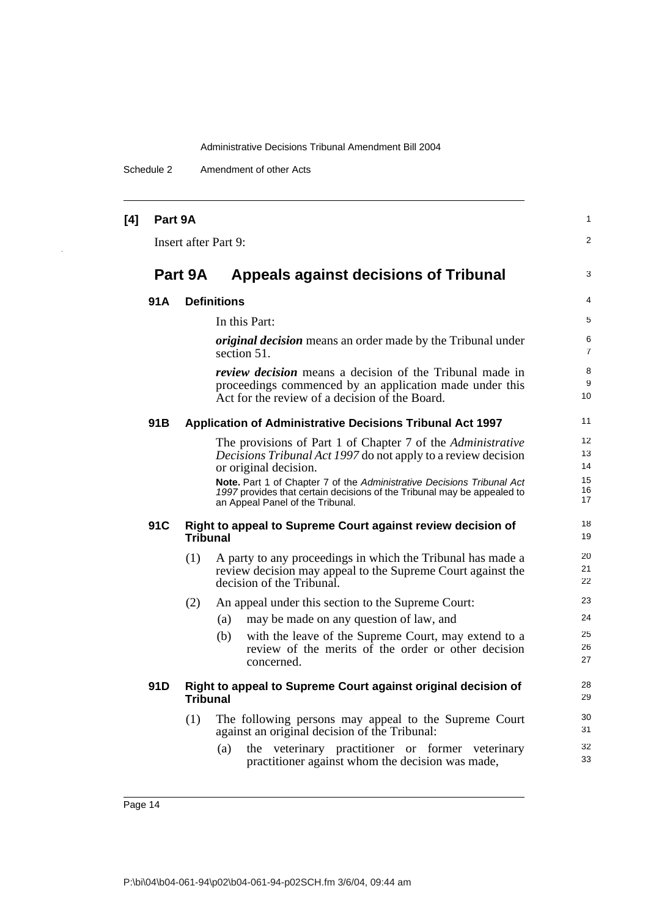Schedule 2 Amendment of other Acts

÷,

| [4] | Part 9A |                 |                                                                                                                                                                                       | $\mathbf{1}$        |
|-----|---------|-----------------|---------------------------------------------------------------------------------------------------------------------------------------------------------------------------------------|---------------------|
|     |         |                 | <b>Insert after Part 9:</b>                                                                                                                                                           | 2                   |
|     | Part 9A |                 | <b>Appeals against decisions of Tribunal</b>                                                                                                                                          | 3                   |
|     | 91A     |                 | <b>Definitions</b>                                                                                                                                                                    | 4                   |
|     |         |                 | In this Part:                                                                                                                                                                         | 5                   |
|     |         |                 | <i>original decision</i> means an order made by the Tribunal under<br>section 51.                                                                                                     | 6<br>$\overline{7}$ |
|     |         |                 | <i>review decision</i> means a decision of the Tribunal made in<br>proceedings commenced by an application made under this<br>Act for the review of a decision of the Board.          | 8<br>9<br>10        |
|     | 91B     |                 | <b>Application of Administrative Decisions Tribunal Act 1997</b>                                                                                                                      | 11                  |
|     |         |                 | The provisions of Part 1 of Chapter 7 of the Administrative                                                                                                                           | 12                  |
|     |         |                 | Decisions Tribunal Act 1997 do not apply to a review decision                                                                                                                         | 13                  |
|     |         |                 | or original decision.                                                                                                                                                                 | 14<br>15            |
|     |         |                 | Note. Part 1 of Chapter 7 of the Administrative Decisions Tribunal Act<br>1997 provides that certain decisions of the Tribunal may be appealed to<br>an Appeal Panel of the Tribunal. | 16<br>17            |
|     | 91C     | <b>Tribunal</b> | Right to appeal to Supreme Court against review decision of                                                                                                                           | 18<br>19            |
|     |         | (1)             | A party to any proceedings in which the Tribunal has made a                                                                                                                           | 20                  |
|     |         |                 | review decision may appeal to the Supreme Court against the<br>decision of the Tribunal.                                                                                              | 21<br>22            |
|     |         | (2)             | An appeal under this section to the Supreme Court:                                                                                                                                    | 23                  |
|     |         |                 | may be made on any question of law, and<br>(a)                                                                                                                                        | 24                  |
|     |         |                 | with the leave of the Supreme Court, may extend to a<br>(b)                                                                                                                           | 25                  |
|     |         |                 | review of the merits of the order or other decision<br>concerned.                                                                                                                     | 26<br>27            |
|     | 91D     | <b>Tribunal</b> | Right to appeal to Supreme Court against original decision of                                                                                                                         | 28<br>29            |
|     |         | (1)             | The following persons may appeal to the Supreme Court<br>against an original decision of the Tribunal:                                                                                | 30<br>31            |
|     |         |                 | the veterinary practitioner or former veterinary<br>(a)<br>practitioner against whom the decision was made,                                                                           | 32<br>33            |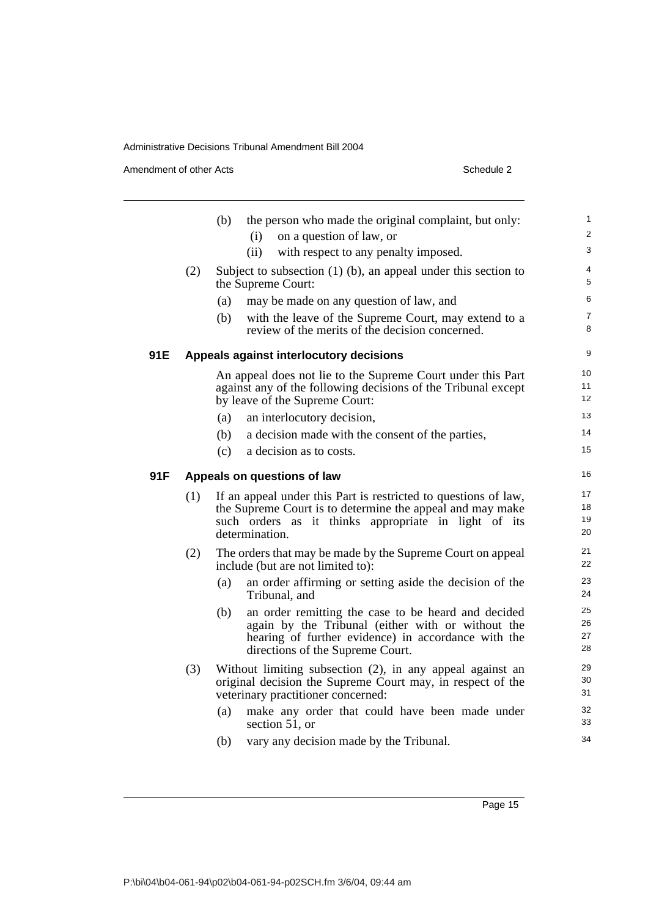Amendment of other Acts Schedule 2

|     |     | (b) | the person who made the original complaint, but only:<br>on a question of law, or<br>(i)                                                                                                               | 1<br>$\overline{c}$  |
|-----|-----|-----|--------------------------------------------------------------------------------------------------------------------------------------------------------------------------------------------------------|----------------------|
|     |     |     | (ii)<br>with respect to any penalty imposed.                                                                                                                                                           | 3                    |
|     | (2) |     | Subject to subsection $(1)$ (b), an appeal under this section to<br>the Supreme Court:                                                                                                                 | 4<br>5               |
|     |     | (a) | may be made on any question of law, and                                                                                                                                                                | 6                    |
|     |     | (b) | with the leave of the Supreme Court, may extend to a<br>review of the merits of the decision concerned.                                                                                                | 7<br>8               |
| 91E |     |     | Appeals against interlocutory decisions                                                                                                                                                                | 9                    |
|     |     |     | An appeal does not lie to the Supreme Court under this Part<br>against any of the following decisions of the Tribunal except<br>by leave of the Supreme Court:                                         | 10<br>11<br>12       |
|     |     | (a) | an interlocutory decision,                                                                                                                                                                             | 13                   |
|     |     | (b) | a decision made with the consent of the parties,                                                                                                                                                       | 14                   |
|     |     | (c) | a decision as to costs.                                                                                                                                                                                | 15                   |
| 91F |     |     | Appeals on questions of law                                                                                                                                                                            | 16                   |
|     | (1) |     | If an appeal under this Part is restricted to questions of law,<br>the Supreme Court is to determine the appeal and may make<br>such orders as it thinks appropriate in light of its<br>determination. | 17<br>18<br>19<br>20 |
|     | (2) |     | The orders that may be made by the Supreme Court on appeal<br>include (but are not limited to):                                                                                                        | 21<br>22             |
|     |     | (a) | an order affirming or setting aside the decision of the<br>Tribunal, and                                                                                                                               | 23<br>24             |
|     |     | (b) | an order remitting the case to be heard and decided<br>again by the Tribunal (either with or without the<br>hearing of further evidence) in accordance with the<br>directions of the Supreme Court.    | 25<br>26<br>27<br>28 |
|     | (3) |     | Without limiting subsection (2), in any appeal against an<br>original decision the Supreme Court may, in respect of the<br>veterinary practitioner concerned:                                          | 29<br>30<br>31       |
|     |     | (a) | make any order that could have been made under<br>section 51, or                                                                                                                                       | 32<br>33             |
|     |     | (b) | vary any decision made by the Tribunal.                                                                                                                                                                | 34                   |
|     |     |     |                                                                                                                                                                                                        |                      |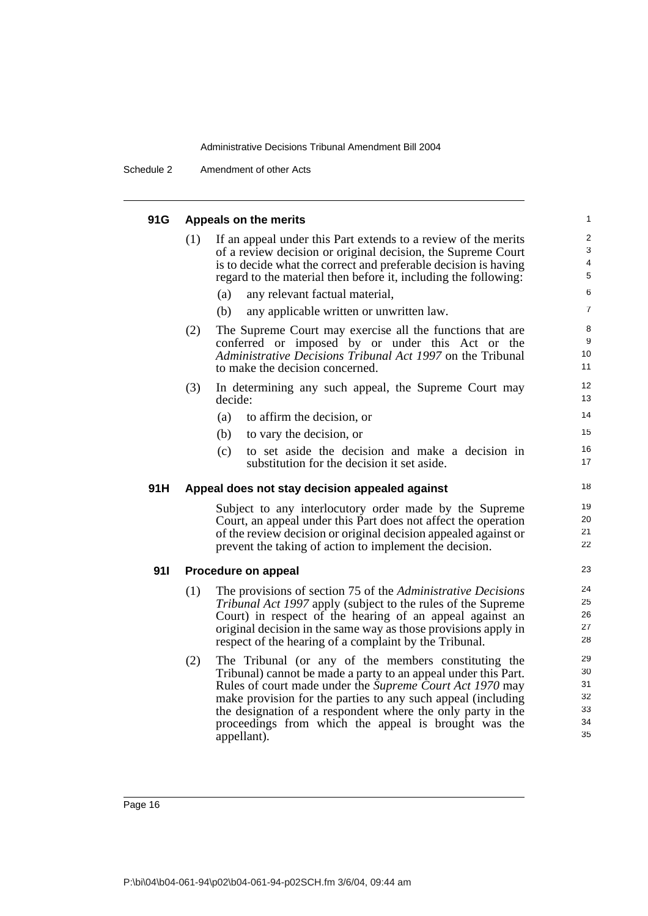Schedule 2 Amendment of other Acts

| 91G |     | Appeals on the merits                                                                                                                                                                                                                                                                                                                                                                    | 1                                                   |
|-----|-----|------------------------------------------------------------------------------------------------------------------------------------------------------------------------------------------------------------------------------------------------------------------------------------------------------------------------------------------------------------------------------------------|-----------------------------------------------------|
|     | (1) | If an appeal under this Part extends to a review of the merits<br>of a review decision or original decision, the Supreme Court<br>is to decide what the correct and preferable decision is having<br>regard to the material then before it, including the following:                                                                                                                     | $\overline{c}$<br>3<br>$\overline{\mathbf{4}}$<br>5 |
|     |     | any relevant factual material,<br>(a)                                                                                                                                                                                                                                                                                                                                                    | 6                                                   |
|     |     | (b)<br>any applicable written or unwritten law.                                                                                                                                                                                                                                                                                                                                          | $\overline{7}$                                      |
|     | (2) | The Supreme Court may exercise all the functions that are<br>conferred or imposed by or under this Act or the<br>Administrative Decisions Tribunal Act 1997 on the Tribunal<br>to make the decision concerned.                                                                                                                                                                           | 8<br>9<br>10<br>11                                  |
|     | (3) | In determining any such appeal, the Supreme Court may<br>decide:                                                                                                                                                                                                                                                                                                                         | 12<br>13                                            |
|     |     | (a)<br>to affirm the decision, or                                                                                                                                                                                                                                                                                                                                                        | 14                                                  |
|     |     | (b)<br>to vary the decision, or                                                                                                                                                                                                                                                                                                                                                          | 15                                                  |
|     |     | (c)<br>to set aside the decision and make a decision in<br>substitution for the decision it set aside.                                                                                                                                                                                                                                                                                   | 16<br>17                                            |
| 91H |     | Appeal does not stay decision appealed against                                                                                                                                                                                                                                                                                                                                           | 18                                                  |
|     |     | Subject to any interlocutory order made by the Supreme<br>Court, an appeal under this Part does not affect the operation<br>of the review decision or original decision appealed against or<br>prevent the taking of action to implement the decision.                                                                                                                                   | 19<br>20<br>21<br>22                                |
| 911 |     | Procedure on appeal                                                                                                                                                                                                                                                                                                                                                                      | 23                                                  |
|     | (1) | The provisions of section 75 of the Administrative Decisions<br>Tribunal Act 1997 apply (subject to the rules of the Supreme<br>Court) in respect of the hearing of an appeal against an<br>original decision in the same way as those provisions apply in<br>respect of the hearing of a complaint by the Tribunal.                                                                     | 24<br>25<br>26<br>27<br>28                          |
|     | (2) | The Tribunal (or any of the members constituting the<br>Tribunal) cannot be made a party to an appeal under this Part.<br>Rules of court made under the Supreme Court Act 1970 may<br>make provision for the parties to any such appeal (including<br>the designation of a respondent where the only party in the<br>proceedings from which the appeal is brought was the<br>appellant). | 29<br>30<br>31<br>32<br>33<br>34<br>35              |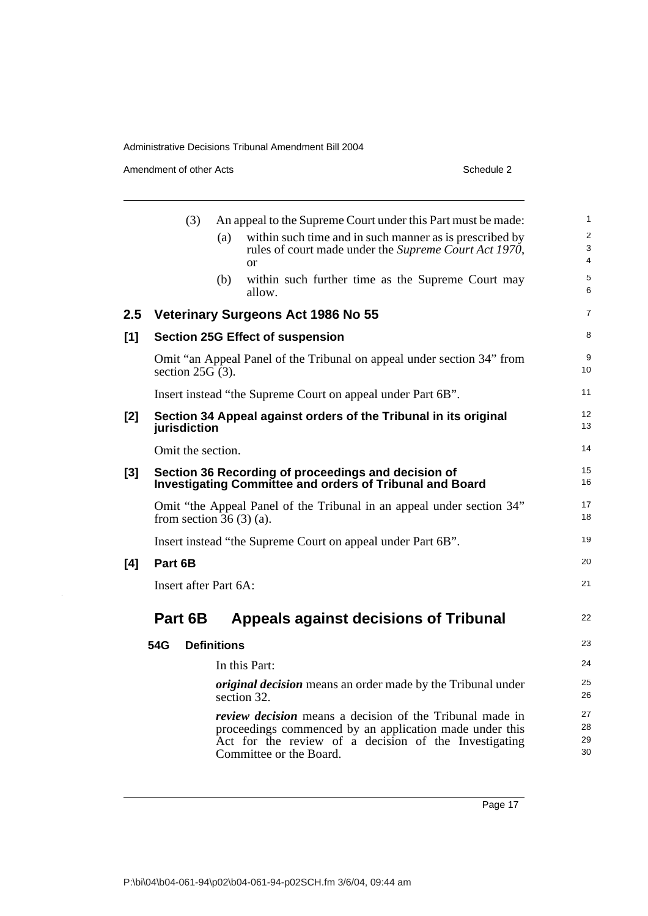Amendment of other Acts Schedule 2

 $\mathbb{R}^2$ 

|     | (3)                       |                    | An appeal to the Supreme Court under this Part must be made:                                                                                                                                                   | $\mathbf 1$                                    |
|-----|---------------------------|--------------------|----------------------------------------------------------------------------------------------------------------------------------------------------------------------------------------------------------------|------------------------------------------------|
|     |                           | (a)                | within such time and in such manner as is prescribed by<br>rules of court made under the Supreme Court Act 1970,<br>$\alpha$                                                                                   | $\overline{\mathbf{c}}$<br>3<br>$\overline{4}$ |
|     |                           | (b)                | within such further time as the Supreme Court may<br>allow.                                                                                                                                                    | 5<br>6                                         |
| 2.5 |                           |                    | <b>Veterinary Surgeons Act 1986 No 55</b>                                                                                                                                                                      | $\overline{7}$                                 |
| [1] |                           |                    | <b>Section 25G Effect of suspension</b>                                                                                                                                                                        | 8                                              |
|     | section $25G(3)$ .        |                    | Omit "an Appeal Panel of the Tribunal on appeal under section 34" from                                                                                                                                         | 9<br>10                                        |
|     |                           |                    | Insert instead "the Supreme Court on appeal under Part 6B".                                                                                                                                                    | 11                                             |
| [2] | jurisdiction              |                    | Section 34 Appeal against orders of the Tribunal in its original                                                                                                                                               | 12<br>13                                       |
|     | Omit the section.         |                    |                                                                                                                                                                                                                | 14                                             |
| [3] |                           |                    | Section 36 Recording of proceedings and decision of<br><b>Investigating Committee and orders of Tribunal and Board</b>                                                                                         | 15<br>16                                       |
|     | from section $36(3)(a)$ . |                    | Omit "the Appeal Panel of the Tribunal in an appeal under section 34"                                                                                                                                          | 17<br>18                                       |
|     |                           |                    | Insert instead "the Supreme Court on appeal under Part 6B".                                                                                                                                                    | 19                                             |
| [4] | Part 6B                   |                    |                                                                                                                                                                                                                | 20                                             |
|     | Insert after Part 6A:     |                    |                                                                                                                                                                                                                | 21                                             |
|     | Part 6B                   |                    | <b>Appeals against decisions of Tribunal</b>                                                                                                                                                                   | 22                                             |
|     | 54G                       | <b>Definitions</b> |                                                                                                                                                                                                                | 23                                             |
|     |                           |                    | In this Part:                                                                                                                                                                                                  | 24                                             |
|     |                           |                    | <i>original decision</i> means an order made by the Tribunal under<br>section 32.                                                                                                                              | 25<br>26                                       |
|     |                           |                    | <i>review decision</i> means a decision of the Tribunal made in<br>proceedings commenced by an application made under this<br>Act for the review of a decision of the Investigating<br>Committee or the Board. | 27<br>28<br>29<br>30                           |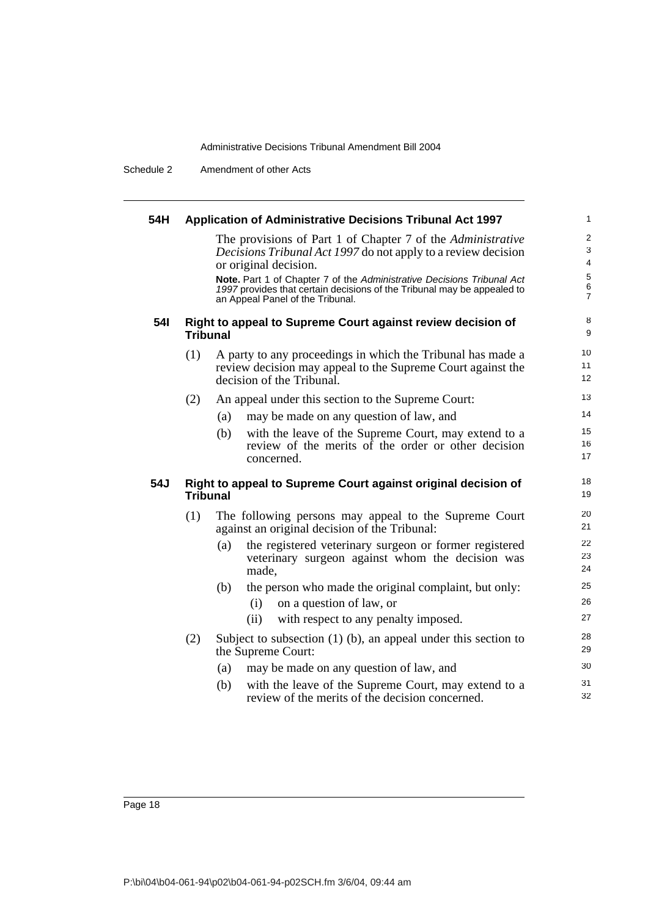Schedule 2 Amendment of other Acts

| 54H        |                 | Application of Administrative Decisions Tribunal Act 1997                                                                                                                             | 1                                 |
|------------|-----------------|---------------------------------------------------------------------------------------------------------------------------------------------------------------------------------------|-----------------------------------|
|            |                 | The provisions of Part 1 of Chapter 7 of the Administrative<br>Decisions Tribunal Act 1997 do not apply to a review decision<br>or original decision.                                 | $\overline{\mathbf{c}}$<br>3<br>4 |
|            |                 | Note. Part 1 of Chapter 7 of the Administrative Decisions Tribunal Act<br>1997 provides that certain decisions of the Tribunal may be appealed to<br>an Appeal Panel of the Tribunal. | 5<br>6<br>7                       |
| <b>541</b> | <b>Tribunal</b> | Right to appeal to Supreme Court against review decision of                                                                                                                           | 8<br>9                            |
|            | (1)             | A party to any proceedings in which the Tribunal has made a<br>review decision may appeal to the Supreme Court against the<br>decision of the Tribunal.                               | 10<br>11<br>12                    |
|            | (2)             | An appeal under this section to the Supreme Court:                                                                                                                                    | 13                                |
|            |                 | may be made on any question of law, and<br>(a)                                                                                                                                        | 14                                |
|            |                 | (b)<br>with the leave of the Supreme Court, may extend to a<br>review of the merits of the order or other decision<br>concerned.                                                      | 15<br>16<br>17                    |
| 54J        | <b>Tribunal</b> | Right to appeal to Supreme Court against original decision of                                                                                                                         | 18<br>19                          |
|            | (1)             | The following persons may appeal to the Supreme Court<br>against an original decision of the Tribunal:                                                                                | 20<br>21                          |
|            |                 | the registered veterinary surgeon or former registered<br>(a)<br>veterinary surgeon against whom the decision was<br>made,                                                            | 22<br>23<br>24                    |
|            |                 | (b)<br>the person who made the original complaint, but only:                                                                                                                          | 25                                |
|            |                 | on a question of law, or<br>(i)                                                                                                                                                       | 26                                |
|            |                 | with respect to any penalty imposed.<br>(ii)                                                                                                                                          | 27                                |
|            | (2)             | Subject to subsection $(1)$ (b), an appeal under this section to<br>the Supreme Court:                                                                                                | 28<br>29                          |
|            |                 | may be made on any question of law, and<br>(a)                                                                                                                                        | 30                                |
|            |                 | (b)<br>with the leave of the Supreme Court, may extend to a<br>review of the merits of the decision concerned.                                                                        | 31<br>32                          |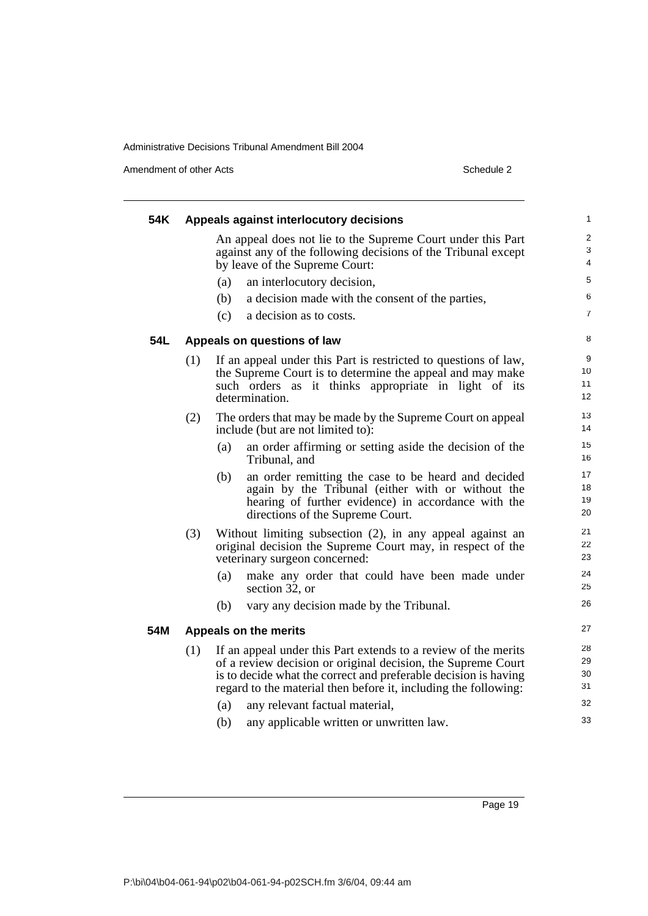Amendment of other Acts Schedule 2

| 54K |     | Appeals against interlocutory decisions                                                                                                                                                                                                                                                                                                                          | 1                                     |
|-----|-----|------------------------------------------------------------------------------------------------------------------------------------------------------------------------------------------------------------------------------------------------------------------------------------------------------------------------------------------------------------------|---------------------------------------|
|     |     | An appeal does not lie to the Supreme Court under this Part<br>against any of the following decisions of the Tribunal except<br>by leave of the Supreme Court:                                                                                                                                                                                                   | $\overline{2}$<br>3<br>$\overline{4}$ |
|     |     | an interlocutory decision,<br>(a)                                                                                                                                                                                                                                                                                                                                | 5                                     |
|     |     | (b)<br>a decision made with the consent of the parties,                                                                                                                                                                                                                                                                                                          | 6                                     |
|     |     | (c)<br>a decision as to costs.                                                                                                                                                                                                                                                                                                                                   | $\overline{7}$                        |
| 54L |     | Appeals on questions of law                                                                                                                                                                                                                                                                                                                                      | 8                                     |
|     | (1) | If an appeal under this Part is restricted to questions of law,<br>the Supreme Court is to determine the appeal and may make<br>such orders as it thinks appropriate in light of its<br>determination.                                                                                                                                                           | 9<br>10<br>11<br>12                   |
|     | (2) | The orders that may be made by the Supreme Court on appeal<br>include (but are not limited to):                                                                                                                                                                                                                                                                  | 13<br>14                              |
|     |     | (a)<br>an order affirming or setting aside the decision of the<br>Tribunal, and                                                                                                                                                                                                                                                                                  | 15<br>16                              |
|     |     | (b)<br>an order remitting the case to be heard and decided<br>again by the Tribunal (either with or without the<br>hearing of further evidence) in accordance with the<br>directions of the Supreme Court.                                                                                                                                                       | 17<br>18<br>19<br>20                  |
|     | (3) | Without limiting subsection (2), in any appeal against an<br>original decision the Supreme Court may, in respect of the<br>veterinary surgeon concerned:                                                                                                                                                                                                         | 21<br>22<br>23                        |
|     |     | make any order that could have been made under<br>(a)<br>section 32, or                                                                                                                                                                                                                                                                                          | 24<br>25                              |
|     |     | (b)<br>vary any decision made by the Tribunal.                                                                                                                                                                                                                                                                                                                   | 26                                    |
| 54M |     | Appeals on the merits                                                                                                                                                                                                                                                                                                                                            | 27                                    |
|     | (1) | If an appeal under this Part extends to a review of the merits<br>of a review decision or original decision, the Supreme Court<br>is to decide what the correct and preferable decision is having<br>regard to the material then before it, including the following:<br>(a)<br>any relevant factual material,<br>any applicable written or unwritten law.<br>(b) | 28<br>29<br>30<br>31<br>32<br>33      |
|     |     |                                                                                                                                                                                                                                                                                                                                                                  |                                       |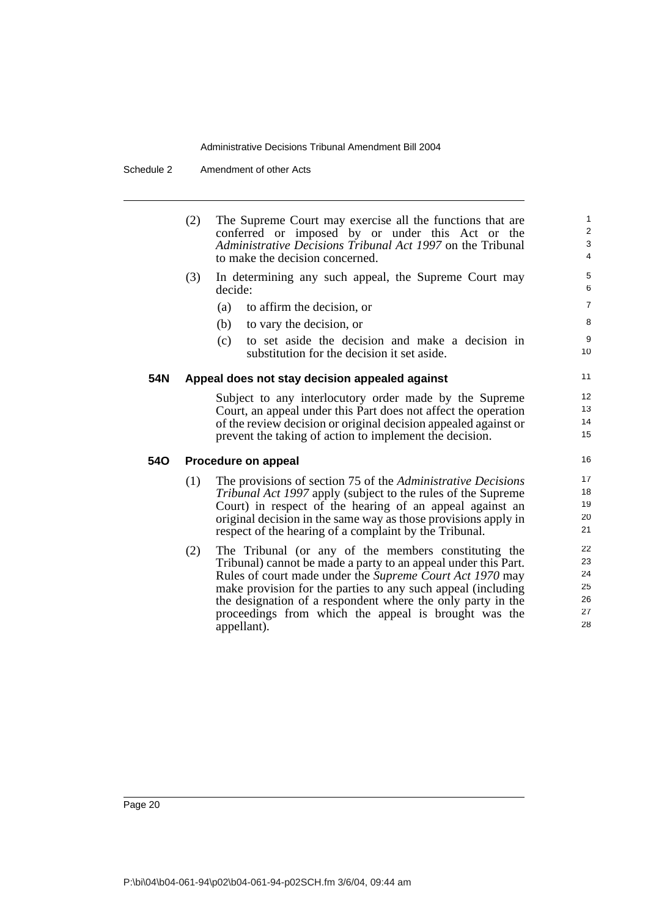Schedule 2 Amendment of other Acts

|            | (2) | The Supreme Court may exercise all the functions that are<br>conferred or imposed by or under this Act or the<br>Administrative Decisions Tribunal Act 1997 on the Tribunal<br>to make the decision concerned.                                                                                                                                                                           | $\mathbf{1}$<br>2<br>3<br>$\overline{4}$ |
|------------|-----|------------------------------------------------------------------------------------------------------------------------------------------------------------------------------------------------------------------------------------------------------------------------------------------------------------------------------------------------------------------------------------------|------------------------------------------|
|            | (3) | In determining any such appeal, the Supreme Court may<br>decide:                                                                                                                                                                                                                                                                                                                         | 5<br>6                                   |
|            |     | (a)<br>to affirm the decision, or                                                                                                                                                                                                                                                                                                                                                        | $\overline{7}$                           |
|            |     | (b)<br>to vary the decision, or                                                                                                                                                                                                                                                                                                                                                          | 8                                        |
|            |     | to set aside the decision and make a decision in<br>(c)<br>substitution for the decision it set aside.                                                                                                                                                                                                                                                                                   | 9<br>10                                  |
| 54N        |     | Appeal does not stay decision appealed against                                                                                                                                                                                                                                                                                                                                           | 11                                       |
|            |     | Subject to any interlocutory order made by the Supreme<br>Court, an appeal under this Part does not affect the operation<br>of the review decision or original decision appealed against or<br>prevent the taking of action to implement the decision.                                                                                                                                   | 12<br>13<br>14<br>15                     |
| <b>540</b> |     | Procedure on appeal                                                                                                                                                                                                                                                                                                                                                                      | 16                                       |
|            | (1) | The provisions of section 75 of the <i>Administrative Decisions</i><br>Tribunal Act 1997 apply (subject to the rules of the Supreme<br>Court) in respect of the hearing of an appeal against an<br>original decision in the same way as those provisions apply in<br>respect of the hearing of a complaint by the Tribunal.                                                              | 17<br>18<br>19<br>20<br>21               |
|            | (2) | The Tribunal (or any of the members constituting the<br>Tribunal) cannot be made a party to an appeal under this Part.<br>Rules of court made under the Supreme Court Act 1970 may<br>make provision for the parties to any such appeal (including<br>the designation of a respondent where the only party in the<br>proceedings from which the appeal is brought was the<br>appellant). | 22<br>23<br>24<br>25<br>26<br>27<br>28   |